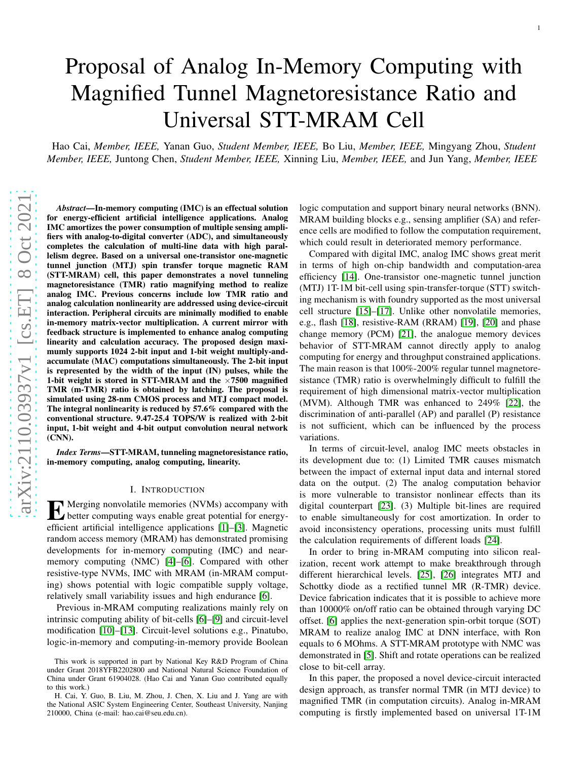# Proposal of Analog In-Memory Computing with Magnified Tunnel Magnetoresistance Ratio and Universal STT-MRAM Cell

Hao Cai, *Member, IEEE,* Yanan Guo, *Student Member, IEEE,* Bo Liu, *Member, IEEE,* Mingyang Zhou, *Student Member, IEEE,* Juntong Chen, *Student Member, IEEE,* Xinning Liu, *Member, IEEE,* and Jun Yang, *Member, IEEE*

*Abstract*—In-memory computing (IMC) is an effectual solution for energy-efficient artificial intelligence applications. Analog IMC amortizes the power consumption of multiple sensing amplifiers with analog-to-digital converter (ADC), and simultaneously completes the calculation of multi-line data with high parallelism degree. Based on a universal one-transistor one-magnetic tunnel junction (MTJ) spin transfer torque magnetic RAM (STT-MRAM) cell, this paper demonstrates a novel tunneling magnetoresistance (TMR) ratio magnifying method to realiz e analog IMC. Previous concerns include low TMR ratio and analog calculation nonlinearity are addressed using device-circuit interaction. Peripheral circuits are minimally modified to enable in-memory matrix-vector multiplication. A current mirror with feedback structure is implemented to enhance analog computing linearity and calculation accuracy. The proposed design maximumly supports 1024 2-bit input and 1-bit weight multiply-andaccumulate (MAC) computations simultaneously. The 2-bit input is represented by the width of the input (IN) pulses, while th e 1-bit weight is stored in STT-MRAM and the  $\times 7500$  magnified TMR (m-TMR) ratio is obtained by latching. The proposal is simulated using 28-nm CMOS process and MTJ compact model. The integral nonlinearity is reduced by 57.6% compared with the conventional structure. 9.47-25.4 TOPS/W is realized with 2-bit input, 1-bit weight and 4-bit output convolution neural network (CNN).

*Index Terms*—STT-MRAM, tunneling magnetoresistance ratio, in-memory computing, analog computing, linearity.

# I. INTRODUCTION

**EXA** Merging nonvolatile memories (NVMs) accompany with<br>better computing ways enable great potential for energy-<br>efficient estimated intelligence complications [1], [2] Memories better computing ways enable great potential for energyefficient artificial intelligence applications [\[1\]](#page-9-0)–[\[3\]](#page-9-1). Magnetic random access memory (MRAM) has demonstrated promising developments for in-memory computing (IMC) and nearmemory computing (NMC) [\[4\]](#page-9-2)–[\[6\]](#page-9-3). Compared with other resistive-type NVMs, IMC with MRAM (in-MRAM computing) shows potential with logic compatible supply voltage, relatively small variability issues and high endurance [\[6\]](#page-9-3) .

Previous in-MRAM computing realizations mainly rely on intrinsic computing ability of bit-cells [\[6\]](#page-9-3)–[\[9\]](#page-9-4) and circuit-level modification [\[10\]](#page-9-5)–[\[13\]](#page-9-6). Circuit-level solutions e.g., Pinatubo, logic-in-memory and computing-in-memory provide Boolean

logic computation and support binary neural networks (BNN) . MRAM building blocks e.g., sensing amplifier (SA) and reference cells are modified to follow the computation requirement, which could result in deteriorated memory performance.

Compared with digital IMC, analog IMC shows great merit in terms of high on-chip bandwidth and computation-area efficiency [\[14\]](#page-9-7). One-transistor one-magnetic tunnel junction (MTJ) 1T-1M bit-cell using spin-transfer-torque (STT) switching mechanism is with foundry supported as the most universal cell structure [\[15\]](#page-9-8)–[\[17\]](#page-9-9). Unlike other nonvolatile memories, e.g., flash [\[18\]](#page-9-10), resistive-RAM (RRAM) [\[19\]](#page-9-11), [\[20\]](#page-9-12) and phase change memory (PCM) [\[21\]](#page-9-13), the analogue memory devices behavior of STT-MRAM cannot directly apply to analog computing for energy and throughput constrained applications. The main reason is that 100%-200% regular tunnel magnetoresistance (TMR) ratio is overwhelmingly difficult to fulfill the requirement of high dimensional matrix-vector multiplication (MVM). Although TMR was enhanced to 249% [\[22\]](#page-9-14), the discrimination of anti-parallel (AP) and parallel (P) resistance is not sufficient, which can be influenced by the process variations.

In terms of circuit-level, analog IMC meets obstacles in its development due to: (1) Limited TMR causes mismatch between the impact of external input data and internal store d data on the output. (2) The analog computation behavior is more vulnerable to transistor nonlinear effects than its digital counterpart [\[23\]](#page-9-15). (3) Multiple bit-lines are required to enable simultaneously for cost amortization. In order to avoid inconsistency operations, processing units must fulfill the calculation requirements of different loads [\[24\]](#page-9-16).

In order to bring in-MRAM computing into silicon realization, recent work attempt to make breakthrough through different hierarchical levels. [\[25\]](#page-9-17), [\[26\]](#page-9-18) integrates MTJ and Schottky diode as a rectified tunnel MR (R-TMR) device. Device fabrication indicates that it is possible to achieve more than 10000% on/off ratio can be obtained through varying DC offset. [\[6\]](#page-9-3) applies the next-generation spin-orbit torque (SOT) MRAM to realize analog IMC at DNN interface, with Ron equals to 6 MOhms. A STT-MRAM prototype with NMC was demonstrated in [\[5\]](#page-9-19). Shift and rotate operations can be realized close to bit-cell array.

In this paper, the proposed a novel device-circuit interacted design approach, as transfer normal TMR (in MTJ device) to magnified TMR (in computation circuits). Analog in-MRAM computing is firstly implemented based on universal 1T-1M

This work is supported in part by National Key R&D Program of China under Grant 2018YFB2202800 and National Natural Science Foundation of China under Grant 61904028. (Hao Cai and Yanan Guo contributed equally to this work.)

H. Cai, Y. Guo, B. Liu, M. Zhou, J. Chen, X. Liu and J. Yang are with the National ASIC System Engineering Center, Southeast University, Nanjing 210000, China (e-mail: hao.cai@seu.edu.cn).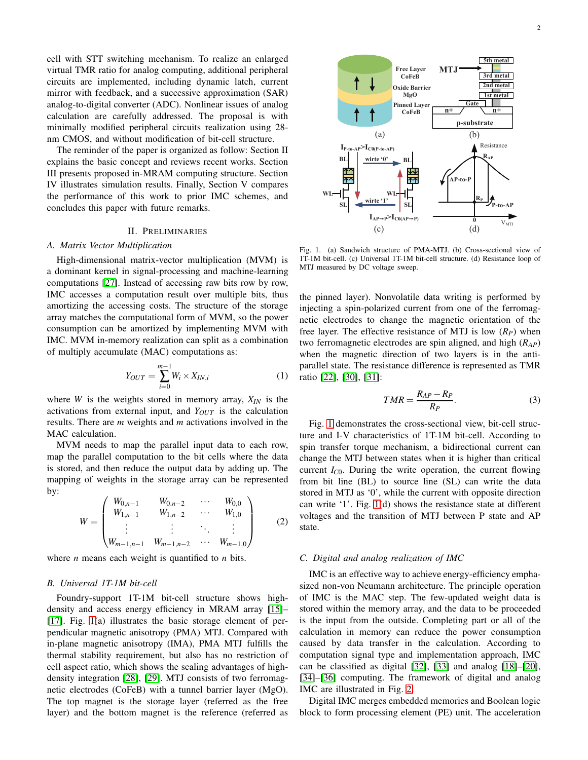cell with STT switching mechanism. To realize an enlarged virtual TMR ratio for analog computing, additional peripheral circuits are implemented, including dynamic latch, current mirror with feedback, and a successive approximation (SAR) analog-to-digital converter (ADC). Nonlinear issues of analog calculation are carefully addressed. The proposal is with minimally modified peripheral circuits realization using 28 nm CMOS, and without modification of bit-cell structure.

The reminder of the paper is organized as follow: Section II explains the basic concept and reviews recent works. Section III presents proposed in-MRAM computing structure. Section IV illustrates simulation results. Finally, Section V compares the performance of this work to prior IMC schemes, and concludes this paper with future remarks.

# II. PRELIMINARIES

#### *A. Matrix Vector Multiplication*

High-dimensional matrix-vector multiplication (MVM) is a dominant kernel in signal-processing and machine-learning computations [\[27\]](#page-9-20). Instead of accessing raw bits row by row, IMC accesses a computation result over multiple bits, thus amortizing the accessing costs. The structure of the storage array matches the computational form of MVM, so the power consumption can be amortized by implementing MVM with IMC. MVM in-memory realization can split as a combination of multiply accumulate (MAC) computations as:

<span id="page-1-1"></span>
$$
Y_{OUT} = \sum_{i=0}^{m-1} W_i \times X_{IN,i}
$$
 (1)

where *W* is the weights stored in memory array,  $X_{IN}$  is the activations from external input, and *YOUT* is the calculation results. There are *m* weights and *m* activations involved in the MAC calculation.

MVM needs to map the parallel input data to each row, map the parallel computation to the bit cells where the data is stored, and then reduce the output data by adding up. The mapping of weights in the storage array can be represented by:

<span id="page-1-2"></span>
$$
W = \begin{pmatrix} W_{0,n-1} & W_{0,n-2} & \cdots & W_{0,0} \\ W_{1,n-1} & W_{1,n-2} & \cdots & W_{1,0} \\ \vdots & \vdots & \ddots & \vdots \\ W_{m-1,n-1} & W_{m-1,n-2} & \cdots & W_{m-1,0} \end{pmatrix}
$$
 (2)

where *n* means each weight is quantified to *n* bits.

# *B. Universal 1T-1M bit-cell*

Foundry-support 1T-1M bit-cell structure shows highdensity and access energy efficiency in MRAM array [\[15\]](#page-9-8)– [\[17\]](#page-9-9). Fig. [1\(](#page-1-0)a) illustrates the basic storage element of perpendicular magnetic anisotropy (PMA) MTJ. Compared with in-plane magnetic anisotropy (IMA), PMA MTJ fulfills the thermal stability requirement, but also has no restriction of cell aspect ratio, which shows the scaling advantages of highdensity integration [\[28\]](#page-9-21), [\[29\]](#page-9-22). MTJ consists of two ferromagnetic electrodes (CoFeB) with a tunnel barrier layer (MgO). The top magnet is the storage layer (referred as the free layer) and the bottom magnet is the reference (referred as



<span id="page-1-0"></span>Fig. 1. (a) Sandwich structure of PMA-MTJ. (b) Cross-sectional view of 1T-1M bit-cell. (c) Universal 1T-1M bit-cell structure. (d) Resistance loop of MTJ measured by DC voltage sweep.

the pinned layer). Nonvolatile data writing is performed by injecting a spin-polarized current from one of the ferromagnetic electrodes to change the magnetic orientation of the free layer. The effective resistance of MTJ is low  $(R_P)$  when two ferromagnetic electrodes are spin aligned, and high (*RAP*) when the magnetic direction of two layers is in the antiparallel state. The resistance difference is represented as TMR ratio [\[22\]](#page-9-14), [\[30\]](#page-9-23), [\[31\]](#page-9-24):

$$
TMR = \frac{R_{AP} - R_P}{R_P}.\tag{3}
$$

Fig. [1](#page-1-0) demonstrates the cross-sectional view, bit-cell structure and I-V characteristics of 1T-1M bit-cell. According to spin transfer torque mechanism, a bidirectional current can change the MTJ between states when it is higher than critical current  $I_{C0}$ . During the write operation, the current flowing from bit line (BL) to source line (SL) can write the data stored in MTJ as '0', while the current with opposite direction can write '1'. Fig. [1\(](#page-1-0)d) shows the resistance state at different voltages and the transition of MTJ between P state and AP state.

# *C. Digital and analog realization of IMC*

IMC is an effective way to achieve energy-efficiency emphasized non-von Neumann architecture. The principle operation of IMC is the MAC step. The few-updated weight data is stored within the memory array, and the data to be proceeded is the input from the outside. Completing part or all of the calculation in memory can reduce the power consumption caused by data transfer in the calculation. According to computation signal type and implementation approach, IMC can be classified as digital [\[32\]](#page-9-25), [\[33\]](#page-9-26) and analog [\[18\]](#page-9-10)–[\[20\]](#page-9-12), [\[34\]](#page-10-0)–[\[36\]](#page-10-1) computing. The framework of digital and analog IMC are illustrated in Fig. [2.](#page-2-0)

Digital IMC merges embedded memories and Boolean logic block to form processing element (PE) unit. The acceleration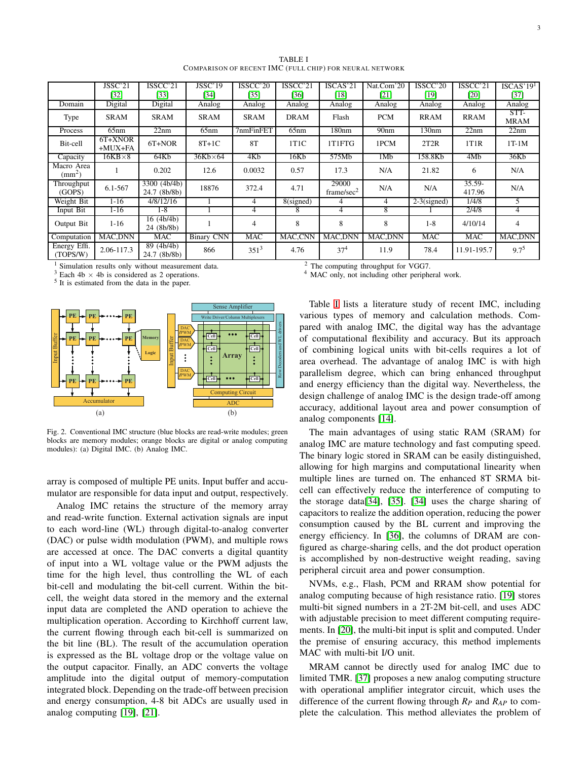TABLE I COMPARISON OF RECENT IMC (FULL CHIP) FOR NEURAL NETWORK

<span id="page-2-1"></span>

|                            | JSSC'21              | ISSCC'21                     | JSSC'19           | ISSCC'20       | ISSCC'21    | ISCAS'21                        | Nat.Com'20       | ISSCC'20       | ISSCC'21            | ISCAS'19 <sup>1</sup> |
|----------------------------|----------------------|------------------------------|-------------------|----------------|-------------|---------------------------------|------------------|----------------|---------------------|-----------------------|
|                            | [32]                 | [33]                         | [34]              | [35]           | [36]        | [18]                            | [21]             | [19]           | [20]                | [37]                  |
| Domain                     | Digital              | Digital                      | Analog            | Analog         | Analog      | Analog                          | Analog           | Analog         | Analog              | Analog                |
| Type                       | <b>SRAM</b>          | <b>SRAM</b>                  | <b>SRAM</b>       | SRAM           | <b>DRAM</b> | Flash                           | <b>PCM</b>       | <b>RRAM</b>    | <b>RRAM</b>         | STT-<br><b>MRAM</b>   |
| Process                    | 65nm                 | 22nm                         | 65nm              | 7nmFinFET      | 65nm        | 180 <sub>nm</sub>               | 90 <sub>nm</sub> | 130nm          | 22nm                | 22nm                  |
| Bit-cell                   | 6T+XNOR<br>$+MUX+FA$ | 6T+NOR                       | $8T+1C$           | 8T             | 1T1C        | 1T1FTG                          | 1PCM             | 2T2R           | 1T1R                | $1T-1M$               |
| Capacity                   | $16KB \times 8$      | 64Kb                         | $36Kb \times 64$  | 4Kb            | 16Kb        | 575Mb                           | 1Mb              | 158.8Kb        | 4M <sub>b</sub>     | 36Kb                  |
| Macro Area<br>$\text{m}^2$ |                      | 0.202                        | 12.6              | 0.0032         | 0.57        | 17.3                            | N/A              | 21.82          | 6                   | N/A                   |
| Throughput<br>(GOPS)       | 6.1-567              | 3300 (4b/4b)<br>24.7 (8b/8b) | 18876             | 372.4          | 4.71        | 29000<br>frame/sec <sup>2</sup> | N/A              | N/A            | $35.59 -$<br>417.96 | N/A                   |
| Weight Bit                 | $1 - 16$             | 4/8/12/16                    |                   | 4              | 8(signed)   | 4                               | 4                | $2-3$ (signed) | 1/4/8               | 5                     |
| Input Bit                  | $1 - 16$             | $1-8$                        |                   | 4              | 8           | 4                               | 8                |                | 2/4/8               | 4                     |
| Output Bit                 | $1 - 16$             | 16(4b/4b)<br>24 (8b/8b)      |                   | $\overline{4}$ | 8           | 8                               | 8                | $1 - 8$        | 4/10/14             | 4                     |
| Computation                | MAC.DNN              | MAC                          | <b>Binary CNN</b> | <b>MAC</b>     | MAC,CNN     | MAC.DNN                         | <b>MAC.DNN</b>   | <b>MAC</b>     | MAC                 | MAC, DNN              |
| Energy Effi.<br>(TOPS/W)   | 2.06-117.3           | 89 (4b/4b)<br>24.7 (8b/8b)   | 866               | $351^3$        | 4.76        | 37 <sup>4</sup>                 | 11.9             | 78.4           | 11.91-195.7         | $9.7^{5}$             |

<sup>1</sup> Simulation results only without measurement data. <sup>2</sup> The computing throughput for VGG7.<br><sup>3</sup> Each 4b  $\times$  4b is considered as 2 operations. <sup>4</sup> MAC only, not including other periphe

<sup>5</sup> It is estimated from the data in the paper.



<span id="page-2-0"></span>Fig. 2. Conventional IMC structure (blue blocks are read-write modules; green blocks are memory modules; orange blocks are digital or analog computing modules): (a) Digital IMC. (b) Analog IMC.

array is composed of multiple PE units. Input buffer and accumulator are responsible for data input and output, respectively.

Analog IMC retains the structure of the memory array and read-write function. External activation signals are input to each word-line (WL) through digital-to-analog converter (DAC) or pulse width modulation (PWM), and multiple rows are accessed at once. The DAC converts a digital quantity of input into a WL voltage value or the PWM adjusts the time for the high level, thus controlling the WL of each bit-cell and modulating the bit-cell current. Within the bitcell, the weight data stored in the memory and the external input data are completed the AND operation to achieve the multiplication operation. According to Kirchhoff current law, the current flowing through each bit-cell is summarized on the bit line (BL). The result of the accumulation operation is expressed as the BL voltage drop or the voltage value on the output capacitor. Finally, an ADC converts the voltage amplitude into the digital output of memory-computation integrated block. Depending on the trade-off between precision and energy consumption, 4-8 bit ADCs are usually used in analog computing [\[19\]](#page-9-11), [\[21\]](#page-9-13).

<sup>4</sup> MAC only, not including other peripheral work.

Table [I](#page-2-1) lists a literature study of recent IMC, including various types of memory and calculation methods. Compared with analog IMC, the digital way has the advantage of computational flexibility and accuracy. But its approach of combining logical units with bit-cells requires a lot of area overhead. The advantage of analog IMC is with high parallelism degree, which can bring enhanced throughput and energy efficiency than the digital way. Nevertheless, the design challenge of analog IMC is the design trade-off among accuracy, additional layout area and power consumption of analog components [\[14\]](#page-9-7).

The main advantages of using static RAM (SRAM) for analog IMC are mature technology and fast computing speed. The binary logic stored in SRAM can be easily distinguished, allowing for high margins and computational linearity when multiple lines are turned on. The enhanced 8T SRMA bitcell can effectively reduce the interference of computing to the storage data[\[34\]](#page-10-0), [\[35\]](#page-10-2). [\[34\]](#page-10-0) uses the charge sharing of capacitors to realize the addition operation, reducing the power consumption caused by the BL current and improving the energy efficiency. In [\[36\]](#page-10-1), the columns of DRAM are configured as charge-sharing cells, and the dot product operation is accomplished by non-destructive weight reading, saving peripheral circuit area and power consumption.

NVMs, e.g., Flash, PCM and RRAM show potential for analog computing because of high resistance ratio. [\[19\]](#page-9-11) stores multi-bit signed numbers in a 2T-2M bit-cell, and uses ADC with adjustable precision to meet different computing requirements. In [\[20\]](#page-9-12), the multi-bit input is split and computed. Under the premise of ensuring accuracy, this method implements MAC with multi-bit I/O unit.

MRAM cannot be directly used for analog IMC due to limited TMR. [\[37\]](#page-10-3) proposes a new analog computing structure with operational amplifier integrator circuit, which uses the difference of the current flowing through  $R_P$  and  $R_{AP}$  to complete the calculation. This method alleviates the problem of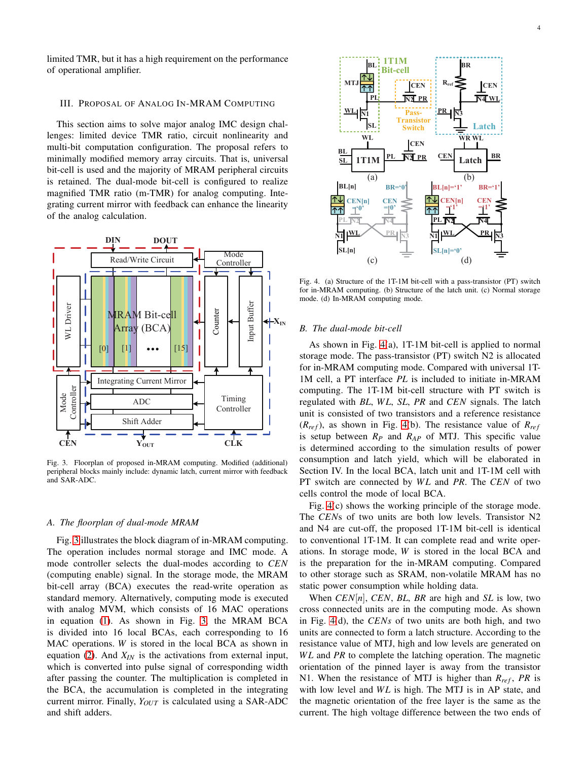limited TMR, but it has a high requirement on the performance of operational amplifier.

#### III. PROPOSAL OF ANALOG IN-MRAM COMPUTING

This section aims to solve major analog IMC design challenges: limited device TMR ratio, circuit nonlinearity and multi-bit computation configuration. The proposal refers to minimally modified memory array circuits. That is, universal bit-cell is used and the majority of MRAM peripheral circuits is retained. The dual-mode bit-cell is configured to realize magnified TMR ratio (m-TMR) for analog computing. Integrating current mirror with feedback can enhance the linearity of the analog calculation.



<span id="page-3-0"></span>Fig. 3. Floorplan of proposed in-MRAM computing. Modified (additional) peripheral blocks mainly include: dynamic latch, current mirror with feedback and SAR-ADC.

#### $BL[7]$  **BL[7]**  $B_{CEN[6,7]}$  **EXPLEM**  $B_{BR}$  **EXPLEMENTALL and Latch Compute CEN[0:7] Array** *A. The floorplan of dual-mode MRAM*

Fig. [3](#page-3-0) illustrates the block diagram of in-MRAM computing. The operation includes normal storage and IMC mode. A mode controller selects the dual-modes according to *CEN* (computing enable) signal. In the storage mode, the MRAM bit-cell array (BCA) executes the read-write operation as standard memory. Alternatively, computing mode is executed with analog MVM, which consists of 16 MAC operations in equation [\(1\)](#page-1-1). As shown in Fig. [3,](#page-3-0) the MRAM BCA is divided into 16 local BCAs, each corresponding to 16 MAC operations. *W* is stored in the local BCA as shown in equation [\(2\)](#page-1-2). And *XIN* is the activations from external input, which is converted into pulse signal of corresponding width after passing the counter. The multiplication is completed in the BCA, the accumulation is completed in the integrating current mirror. Finally, *Y<sub>OUT</sub>* is calculated using a SAR-ADC and shift adders.



<span id="page-3-1"></span>Fig. 4. (a) Structure of the 1T-1M bit-cell with a pass-transistor (PT) switch for in-MRAM computing. (b) Structure of the latch unit. (c) Normal storage mode. (d) In-MRAM computing mode.

#### *B. The dual-mode bit-cell*

As shown in Fig. [4\(](#page-3-1)a), 1T-1M bit-cell is applied to normal storage mode. The pass-transistor (PT) switch N2 is allocated for in-MRAM computing mode. Compared with universal 1T-1M cell, a PT interface *PL* is included to initiate in-MRAM computing. The 1T-1M bit-cell structure with PT switch is regulated with *BL*, *W L*, *SL*, *PR* and *CEN* signals. The latch unit is consisted of two transistors and a reference resistance  $(R_{ref})$ , as shown in Fig. [4\(](#page-3-1)b). The resistance value of  $R_{ref}$ is setup between *R<sup>P</sup>* and *RAP* of MTJ. This specific value is determined according to the simulation results of power consumption and latch yield, which will be elaborated in Section IV. In the local BCA, latch unit and 1T-1M cell with PT switch are connected by WL and PR. The CEN of two cells control the mode of local BCA.

Fig. [4\(](#page-3-1)c) shows the working principle of the storage mode. The *CEN*s of two units are both low levels. Transistor N2 and N4 are cut-off, the proposed 1T-1M bit-cell is identical to conventional 1T-1M. It can complete read and write operations. In storage mode, *W* is stored in the local BCA and is the preparation for the in-MRAM computing. Compared to other storage such as SRAM, non-volatile MRAM has no static power consumption while holding data.

When *CEN*[*n*], *CEN*, *BL*, *BR* are high and *SL* is low, two cross connected units are in the computing mode. As shown in Fig. [4\(](#page-3-1)d), the *CENs* of two units are both high, and two units are connected to form a latch structure. According to the resistance value of MTJ, high and low levels are generated on *WL* and *PR* to complete the latching operation. The magnetic orientation of the pinned layer is away from the transistor N1. When the resistance of MTJ is higher than  $R_{ref}$ , PR is with low level and *WL* is high. The MTJ is in AP state, and the magnetic orientation of the free layer is the same as the current. The high voltage difference between the two ends of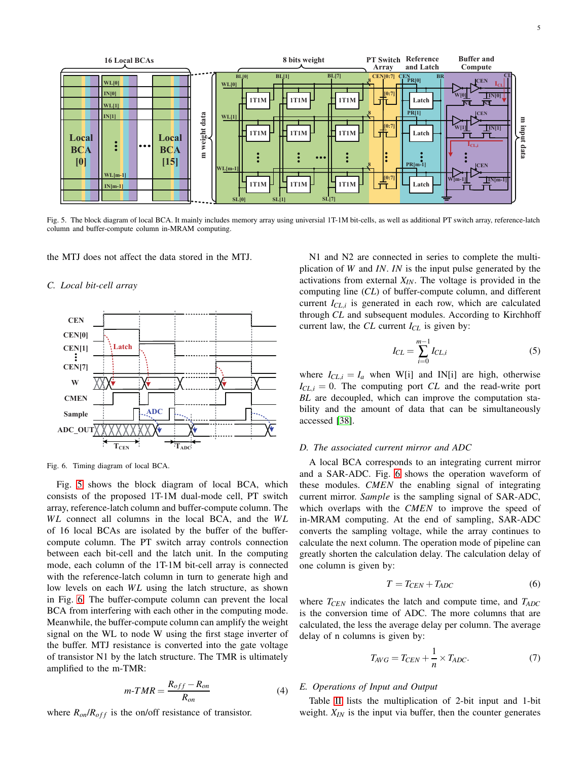

<span id="page-4-0"></span>Fig. 5. The block diagram of local BCA. It mainly includes memory array using universial 1T-1M bit-cells, as well as additional PT switch array, reference-latch column and buffer-compute column in-MRAM computing.

the MTJ does not affect the data stored in the MTJ.

## *C. Local bit-cell array*



<span id="page-4-1"></span>Fig. 6. Timing diagram of local BCA.

Fig. [5](#page-4-0) shows the block diagram of local BCA, which consists of the proposed 1T-1M dual-mode cell, PT switch array, reference-latch column and buffer-compute column. The *WL* connect all columns in the local BCA, and the *WL* of 16 local BCAs are isolated by the buffer of the buffercompute column. The PT switch array controls connection between each bit-cell and the latch unit. In the computing mode, each column of the 1T-1M bit-cell array is connected with the reference-latch column in turn to generate high and low levels on each WL using the latch structure, as shown in Fig. [6.](#page-4-1) The buffer-compute column can prevent the local BCA from interfering with each other in the computing mode. Meanwhile, the buffer-compute column can amplify the weight signal on the WL to node W using the first stage inverter of the buffer. MTJ resistance is converted into the gate voltage of transistor N1 by the latch structure. The TMR is ultimately amplified to the m-TMR:

$$
m\text{-}TMR = \frac{R_{off} - R_{on}}{R_{on}}\tag{4}
$$

where  $R_{on}/R_{off}$  is the on/off resistance of transistor.

N1 and N2 are connected in series to complete the multiplication of *W* and *IN*. *IN* is the input pulse generated by the activations from external *XIN*. The voltage is provided in the computing line (*CL*) of buffer-compute column, and different current *ICL*,*<sup>i</sup>* is generated in each row, which are calculated through *CL* and subsequent modules. According to Kirchhoff current law, the *CL* current *ICL* is given by:

$$
I_{CL} = \sum_{i=0}^{m-1} I_{CL,i}
$$
 (5)

where  $I_{CL,i} = I_a$  when W[i] and IN[i] are high, otherwise  $I_{CL,i} = 0$ . The computing port *CL* and the read-write port *BL* are decoupled, which can improve the computation stability and the amount of data that can be simultaneously accessed [\[38\]](#page-10-4).

#### *D. The associated current mirror and ADC*

A local BCA corresponds to an integrating current mirror and a SAR-ADC. Fig. [6](#page-4-1) shows the operation waveform of these modules. *CMEN* the enabling signal of integrating current mirror. *Sample* is the sampling signal of SAR-ADC, which overlaps with the *CMEN* to improve the speed of in-MRAM computing. At the end of sampling, SAR-ADC converts the sampling voltage, while the array continues to calculate the next column. The operation mode of pipeline can greatly shorten the calculation delay. The calculation delay of one column is given by:

$$
T = T_{CEN} + T_{ADC} \tag{6}
$$

where *TCEN* indicates the latch and compute time, and *TADC* is the conversion time of ADC. The more columns that are calculated, the less the average delay per column. The average delay of n columns is given by:

$$
T_{AVG} = T_{CEN} + \frac{1}{n} \times T_{ADC}.
$$
 (7)

# *E. Operations of Input and Output*

Table [II](#page-5-0) lists the multiplication of 2-bit input and 1-bit weight. *XIN* is the input via buffer, then the counter generates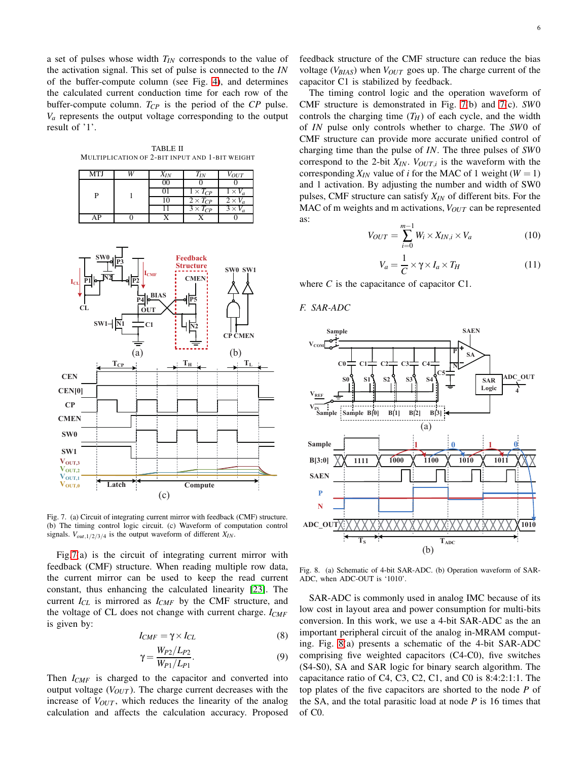a set of pulses whose width *TIN* corresponds to the value of the activation signal. This set of pulse is connected to the *IN* of the buffer-compute column (see Fig. [4\)](#page-3-1), and determines the calculated current conduction time for each row of the buffer-compute column. *TCP* is the period of the *CP* pulse.  $V_a$  represents the output voltage corresponding to the output result of '1'.

<span id="page-5-0"></span>TABLE II MULTIPLICATION OF 2-BIT INPUT AND 1-BIT WEIGHT

| <b>MTJ</b> |  | $X_{IN}$ | $T_{IN}$          | $V_{OUT}$      |
|------------|--|----------|-------------------|----------------|
|            |  | 00       |                   |                |
|            |  |          | $1 \times T_{CP}$ | $1 \times V_a$ |
|            |  |          | $2 \times T_{CP}$ | $2 \times V_a$ |
|            |  |          | $3 \times T_{CP}$ | $3 \times V_a$ |
| AΡ         |  |          |                   |                |



<span id="page-5-1"></span>Fig. 7. (a) Circuit of integrating current mirror with feedback (CMF) structure. (b) The timing control logic circuit. (c) Waveform of computation control signals.  $V_{out,1/2/3/4}$  is the output waveform of different  $X_{IN}$ .

Fig[.7\(](#page-5-1)a) is the circuit of integrating current mirror with feedback (CMF) structure. When reading multiple row data, the current mirror can be used to keep the read current constant, thus enhancing the calculated linearity [\[23\]](#page-9-15). The current *ICL* is mirrored as *ICMF* by the CMF structure, and the voltage of CL does not change with current charge. *ICMF* is given by:

$$
I_{CMF} = \gamma \times I_{CL} \tag{8}
$$

$$
\gamma = \frac{W_{P2}/L_{P2}}{W_{P1}/L_{P1}}.\t(9)
$$

Then *ICMF* is charged to the capacitor and converted into output voltage (*VOUT* ). The charge current decreases with the increase of  $V_{OUT}$ , which reduces the linearity of the analog calculation and affects the calculation accuracy. Proposed

The timing control logic and the operation waveform of CMF structure is demonstrated in Fig. [7\(](#page-5-1)b) and [7\(](#page-5-1)c). *SW*0 controls the charging time  $(T_H)$  of each cycle, and the width of *IN* pulse only controls whether to charge. The *SW*0 of CMF structure can provide more accurate unified control of charging time than the pulse of *IN*. The three pulses of *SW*0 correspond to the 2-bit  $X_{IN}$ .  $V_{OUT,i}$  is the waveform with the corresponding  $X_{IN}$  value of *i* for the MAC of 1 weight ( $W = 1$ ) and 1 activation. By adjusting the number and width of SW0 pulses, CMF structure can satisfy *XIN* of different bits. For the MAC of m weights and m activations, *VOUT* can be represented as:

$$
V_{OUT} = \sum_{i=0}^{m-1} W_i \times X_{IN,i} \times V_a \tag{10}
$$

$$
V_a = \frac{1}{C} \times \gamma \times I_a \times T_H \tag{11}
$$

where *C* is the capacitance of capacitor C1.

*F. SAR-ADC*



<span id="page-5-2"></span>Fig. 8. (a) Schematic of 4-bit SAR-ADC. (b) Operation waveform of SAR-ADC, when ADC-OUT is '1010'.

SAR-ADC is commonly used in analog IMC because of its low cost in layout area and power consumption for multi-bits conversion. In this work, we use a 4-bit SAR-ADC as the an important peripheral circuit of the analog in-MRAM computing. Fig. [8\(](#page-5-2)a) presents a schematic of the 4-bit SAR-ADC comprising five weighted capacitors (C4-C0), five switches (S4-S0), SA and SAR logic for binary search algorithm. The capacitance ratio of C4, C3, C2, C1, and C0 is 8:4:2:1:1. The top plates of the five capacitors are shorted to the node *P* of the SA, and the total parasitic load at node *P* is 16 times that of C0.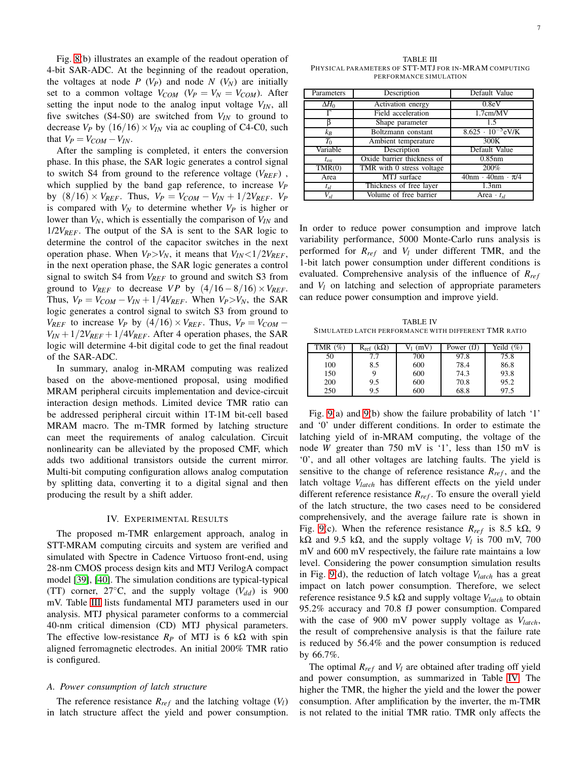Fig. [8\(](#page-5-2)b) illustrates an example of the readout operation of 4-bit SAR-ADC. At the beginning of the readout operation, the voltages at node  $P(V_P)$  and node  $N(V_N)$  are initially set to a common voltage  $V_{COM}$  ( $V_P = V_N = V_{COM}$ ). After setting the input node to the analog input voltage *VIN*, all five switches (S4-S0) are switched from *VIN* to ground to decrease  $V_P$  by  $(16/16) \times V_{IN}$  via ac coupling of C4-C0, such that  $V_P = V_{COM} - V_{IN}$ .

After the sampling is completed, it enters the conversion phase. In this phase, the SAR logic generates a control signal to switch S4 from ground to the reference voltage (*VREF*) , which supplied by the band gap reference, to increase *V<sup>P</sup>*  $b$ *y*  $(8/16) \times V_{REF}$ . Thus,  $V_P = V_{COM} - V_{IN} + 1/2V_{REF}$ .  $V_P$ is compared with  $V_N$  to determine whether  $V_P$  is higher or lower than *VN*, which is essentially the comparison of *VIN* and 1/2*VREF*. The output of the SA is sent to the SAR logic to determine the control of the capacitor switches in the next operation phase. When  $V_P > V_N$ , it means that  $V_{IN} < 1/2V_{REF}$ , in the next operation phase, the SAR logic generates a control signal to switch S4 from *VREF* to ground and switch S3 from ground to  $V_{REF}$  to decrease *VP* by  $(4/16-8/16) \times V_{REF}$ . Thus,  $V_P = V_{COM} - V_{IN} + 1/4V_{REF}$ . When  $V_P > V_N$ , the SAR logic generates a control signal to switch S3 from ground to *V*<sup>*REF*</sup> to increase *V<sub>P</sub>* by (4/16) × *V<sub>REF</sub>*. Thus, *V<sub>P</sub>* = *V<sub>COM</sub>* −  $V_{IN} + 1/2V_{REF} + 1/4V_{REF}$ . After 4 operation phases, the SAR logic will determine 4-bit digital code to get the final readout of the SAR-ADC.

In summary, analog in-MRAM computing was realized based on the above-mentioned proposal, using modified MRAM peripheral circuits implementation and device-circuit interaction design methods. Limited device TMR ratio can be addressed peripheral circuit within 1T-1M bit-cell based MRAM macro. The m-TMR formed by latching structure can meet the requirements of analog calculation. Circuit nonlinearity can be alleviated by the proposed CMF, which adds two additional transistors outside the current mirror. Multi-bit computing configuration allows analog computation by splitting data, converting it to a digital signal and then producing the result by a shift adder.

# IV. EXPERIMENTAL RESULTS

The proposed m-TMR enlargement approach, analog in STT-MRAM computing circuits and system are verified and simulated with Spectre in Cadence Virtuoso front-end, using 28-nm CMOS process design kits and MTJ VerilogA compact model [\[39\]](#page-10-5), [\[40\]](#page-10-6). The simulation conditions are typical-typical (TT) corner,  $27^{\circ}$ C, and the supply voltage ( $V_{dd}$ ) is 900 mV. Table [III](#page-6-0) lists fundamental MTJ parameters used in our analysis. MTJ physical parameter conforms to a commercial 40-nm critical dimension (CD) MTJ physical parameters. The effective low-resistance  $R_p$  of MTJ is 6 k $\Omega$  with spin aligned ferromagnetic electrodes. An initial 200% TMR ratio is configured.

# *A. Power consumption of latch structure*

The reference resistance  $R_{ref}$  and the latching voltage  $(V_l)$ in latch structure affect the yield and power consumption.

<span id="page-6-0"></span>TABLE III PHYSICAL PARAMETERS OF STT-MTJ FOR IN-MRAM COMPUTING PERFORMANCE SIMULATION

| Parameters   | Description                | Default Value                 |  |  |
|--------------|----------------------------|-------------------------------|--|--|
| $\Delta H_0$ | Activation energy          | 0.8 <sub>e</sub> V            |  |  |
|              | Field acceleration         | 1.7cm/MV                      |  |  |
|              | Shape parameter            | 1.5                           |  |  |
| $k_B$        | Boltzmann constant         | $8.625 \cdot 10^{-5}$ eV/K    |  |  |
| $T_0$        | Ambient temperature        | 300K                          |  |  |
| Variable     | Description                | Default Value                 |  |  |
| $t_{ox}$     | Oxide barrier thickness of | $0.85$ nm                     |  |  |
| TMR(0)       | TMR with 0 stress voltage  | 200%                          |  |  |
| Area         | MTJ surface                | $40nm \cdot 40nm \cdot \pi/4$ |  |  |
| $t_{sl}$     | Thickness of free layer    | 1.3nm                         |  |  |
| $V_{sl}$     | Volume of free barrier     | Area $\cdot t_{sl}$           |  |  |

In order to reduce power consumption and improve latch variability performance, 5000 Monte-Carlo runs analysis is performed for  $R_{ref}$  and  $V_l$  under different TMR, and the 1-bit latch power consumption under different conditions is evaluated. Comprehensive analysis of the influence of  $R_{ref}$ and *V<sup>l</sup>* on latching and selection of appropriate parameters can reduce power consumption and improve yield.

<span id="page-6-1"></span>TABLE IV SIMULATED LATCH PERFORMANCE WITH DIFFERENT TMR RATIO

| TMR (%) | $R_{ref}$ (k $\Omega$ ) | (mV) | Power (fJ) | Yeild $(\%)$ |
|---------|-------------------------|------|------------|--------------|
| 50      |                         | 700  | 97.8       | 75.8         |
| 100     | 8.5                     | 600  | 78.4       | 86.8         |
| 150     |                         | 600  | 74.3       | 93.8         |
| 200     | 9.5                     | 600  | 70.8       | 95.2         |
| 250     | 9.5                     | 600  | 68.8       | 97.5         |

Fig. [9\(](#page-7-0)a) and [9\(](#page-7-0)b) show the failure probability of latch '1' and '0' under different conditions. In order to estimate the latching yield of in-MRAM computing, the voltage of the node *W* greater than 750 mV is '1', less than 150 mV is '0', and all other voltages are latching faults. The yield is sensitive to the change of reference resistance  $R_{ref}$ , and the latch voltage *Vlatch* has different effects on the yield under different reference resistance  $R_{ref}$ . To ensure the overall yield of the latch structure, the two cases need to be considered comprehensively, and the average failure rate is shown in Fig. [9\(](#page-7-0)c). When the reference resistance  $R_{ref}$  is 8.5 k $\Omega$ , 9 kΩ and 9.5 kΩ, and the supply voltage  $V_l$  is 700 mV, 700 mV and 600 mV respectively, the failure rate maintains a low level. Considering the power consumption simulation results in Fig. [9\(](#page-7-0)d), the reduction of latch voltage *Vlatch* has a great impact on latch power consumption. Therefore, we select reference resistance 9.5 kΩ and supply voltage  $V_{latch}$  to obtain 95.2% accuracy and 70.8 fJ power consumption. Compared with the case of 900 mV power supply voltage as *Vlatch*, the result of comprehensive analysis is that the failure rate is reduced by 56.4% and the power consumption is reduced by 66.7%.

The optimal  $R_{ref}$  and  $V_l$  are obtained after trading off yield and power consumption, as summarized in Table [IV.](#page-6-1) The higher the TMR, the higher the yield and the lower the power consumption. After amplification by the inverter, the m-TMR is not related to the initial TMR ratio. TMR only affects the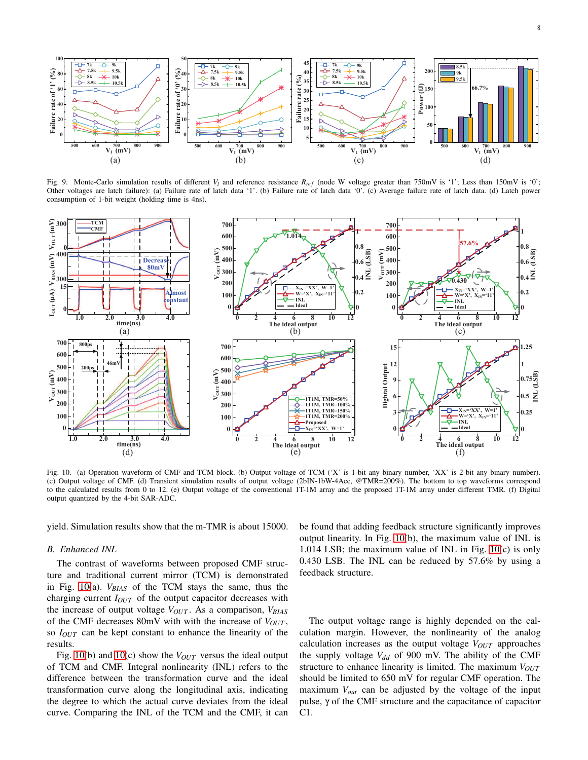

<span id="page-7-0"></span>Fig. 9. Monte-Carlo simulation results of different  $V_l$  and reference resistance  $R_{ref}$  (node W voltage greater than 750mV is '1'; Less than 150mV is '0'; Other voltages are latch failure): (a) Failure rate of latch data '1'. (b) Failure rate of latch data '0'. (c) Average failure rate of latch data. (d) Latch power consumption of 1-bit weight (holding time is 4ns).



<span id="page-7-1"></span>Fig. 10. (a) Operation waveform of CMF and TCM block. (b) Output voltage of TCM ('X' is 1-bit any binary number, 'XX' is 2-bit any binary number). (c) Output voltage of CMF. (d) Transient simulation results of output voltage (2bIN-1bW-4Acc, @TMR=200%). The bottom to top waveforms correspond to the calculated results from 0 to 12. (e) Output voltage of the conventional 1T-1M array and the proposed 1T-1M array under different TMR. (f) Digital output quantized by the 4-bit SAR-ADC.

yield. Simulation results show that the m-TMR is about 15000.

## *B. Enhanced INL*

The contrast of waveforms between proposed CMF structure and traditional current mirror (TCM) is demonstrated in Fig. [10\(](#page-7-1)a). *VBIAS* of the TCM stays the same, thus the charging current *IOUT* of the output capacitor decreases with the increase of output voltage *VOUT* . As a comparison, *VBIAS* of the CMF decreases 80mV with with the increase of *VOUT* , so *IOUT* can be kept constant to enhance the linearity of the results.

Fig. [10\(](#page-7-1)b) and 10(c) show the *V*<sub>*OUT*</sub> versus the ideal output of TCM and CMF. Integral nonlinearity (INL) refers to the difference between the transformation curve and the ideal transformation curve along the longitudinal axis, indicating the degree to which the actual curve deviates from the ideal curve. Comparing the INL of the TCM and the CMF, it can be found that adding feedback structure significantly improves output linearity. In Fig. [10\(](#page-7-1)b), the maximum value of INL is 1.014 LSB; the maximum value of INL in Fig. [10\(](#page-7-1)c) is only 0.430 LSB. The INL can be reduced by 57.6% by using a feedback structure.

The output voltage range is highly depended on the calculation margin. However, the nonlinearity of the analog calculation increases as the output voltage *VOUT* approaches the supply voltage  $V_{dd}$  of 900 mV. The ability of the CMF structure to enhance linearity is limited. The maximum *VOUT* should be limited to 650 mV for regular CMF operation. The maximum *Vout* can be adjusted by the voltage of the input pulse, γ of the CMF structure and the capacitance of capacitor C1.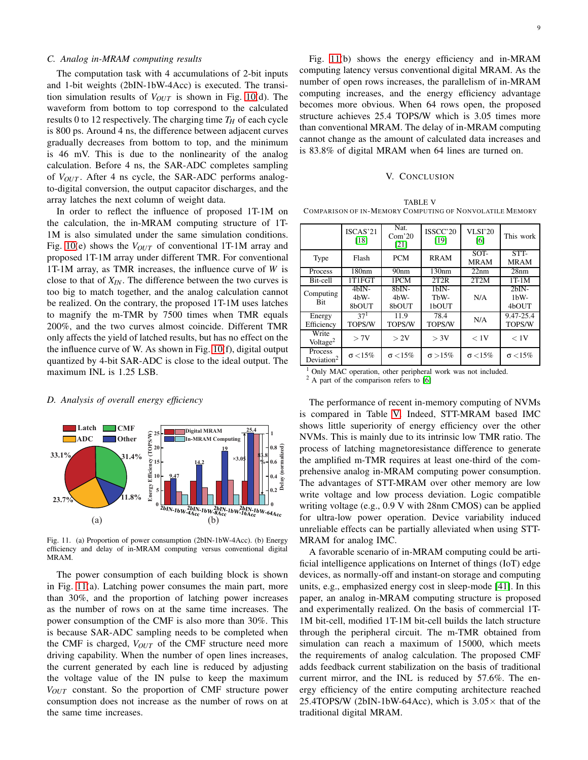# *C. Analog in-MRAM computing results*

The computation task with 4 accumulations of 2-bit inputs and 1-bit weights (2bIN-1bW-4Acc) is executed. The transition simulation results of *VOUT* is shown in Fig. [10\(](#page-7-1)d). The waveform from bottom to top correspond to the calculated results 0 to 12 respectively. The charging time  $T_H$  of each cycle is 800 ps. Around 4 ns, the difference between adjacent curves gradually decreases from bottom to top, and the minimum is 46 mV. This is due to the nonlinearity of the analog calculation. Before 4 ns, the SAR-ADC completes sampling of *VOUT* . After 4 ns cycle, the SAR-ADC performs analogto-digital conversion, the output capacitor discharges, and the array latches the next column of weight data.

In order to reflect the influence of proposed 1T-1M on the calculation, the in-MRAM computing structure of 1T-1M is also simulated under the same simulation conditions. Fig. [10\(](#page-7-1)e) shows the *VOUT* of conventional 1T-1M array and proposed 1T-1M array under different TMR. For conventional 1T-1M array, as TMR increases, the influence curve of *W* is close to that of *XIN*. The difference between the two curves is too big to match together, and the analog calculation cannot be realized. On the contrary, the proposed 1T-1M uses latches to magnify the m-TMR by 7500 times when TMR equals 200%, and the two curves almost coincide. Different TMR only affects the yield of latched results, but has no effect on the the influence curve of W. As shown in Fig. [10\(](#page-7-1)f), digital output quantized by 4-bit SAR-ADC is close to the ideal output. The maximum INL is 1.25 LSB.

# *D. Analysis of overall energy efficiency*



<span id="page-8-0"></span>Fig. 11. (a) Proportion of power consumption (2bIN-1bW-4Acc). (b) Energy efficiency and delay of in-MRAM computing versus conventional digital MR AM.

The power consumption of each building block is shown in Fig. [11\(](#page-8-0)a). Latching power consumes the main part, more than 30%, and the proportion of latching power increases as the number of rows on at the same time increases. The power consumption of the CMF is also more than 30%. This is because SAR-ADC sampling needs to be completed when the CMF is charged, *VOUT* of the CMF structure need more driving capability. When the number of open lines increases, the current generated by each line is reduced by adjusting the voltage value of the IN pulse to keep the maximum *VOUT* constant. So the proportion of CMF structure power consumption does not increase as the number of rows on at the same time increases.

Fig. [11\(](#page-8-0)b) shows the energy efficiency and in-MRAM computing latency versus conventional digital MRAM. As the number of open rows increases, the parallelism of in-MRAM computing increases, and the energy efficiency advantage becomes more obvious. When 64 rows open, the proposed structure achieves 25.4 TOPS/W which is 3.05 times more than conventional MRAM. The delay of in-MRAM computing cannot change as the amount of calculated data increases and is 83.8% of digital MRAM when 64 lines are turned on.

#### V. CONCLUSION

<span id="page-8-1"></span>TABLE V COMPARISON OF IN-MEMORY COMPUTING OF NONVOLATILE MEMORY

|                                   | ISCAS'21<br>[18]            | Nat.<br>Com <sup>20</sup><br>[21] | ISSCC'20<br>[19]         | <b>VLSI'20</b><br>[6] | This work                  |
|-----------------------------------|-----------------------------|-----------------------------------|--------------------------|-----------------------|----------------------------|
| Type                              | Flash                       | <b>PCM</b>                        | <b>RRAM</b>              | $SOT-$<br><b>MRAM</b> | STT-<br><b>MRAM</b>        |
| Process                           | 180 <sub>nm</sub>           | 90 <sub>nm</sub>                  | 130nm                    | 22nm                  | 28nm                       |
| Bit-cell                          | 1T1FGT                      | 1PCM                              | 2T2R                     | 2T2M                  | $1T-1M$                    |
| Computing<br><b>Bit</b>           | $4hIN-$<br>$4hW -$<br>8bOUT | $8bN-$<br>$4hW -$<br>8bOUT        | $1bIN-$<br>ThW-<br>1bOUT | N/A                   | $2hIN-$<br>$1bW-$<br>4bOUT |
| Energy<br>Efficiency              | 37 <sup>1</sup><br>TOPS/W   | 11.9<br>TOPS/W                    | 78.4<br>TOPS/W           | N/A                   | 9.47-25.4<br>TOPS/W        |
| Write<br>Voltage <sup>2</sup>     | > 7V                        | > 2V                              | > 3V                     | < 1V                  | < 1V                       |
| Process<br>Deviation <sup>2</sup> | $\sigma$ < 15%              | $\sigma$ < 15%                    | $\sigma > 15\%$          | $\sigma$ < 15%        | $\sigma$ < 15%             |

| <sup>1</sup> Only MAC operation, other peripheral work was not included. |  |  |  |
|--------------------------------------------------------------------------|--|--|--|
| $2$ A part of the comparison refers to [6]                               |  |  |  |

The performance of recent in-memory computing of NVMs is compared in Table [V.](#page-8-1) Indeed, STT-MRAM based IMC shows little superiority of energy efficiency over the other NVMs. This is mainly due to its intrinsic low TMR ratio. The process of latching magnetoresistance difference to generate the amplified m-TMR requires at least one-third of the comprehensive analog in-MRAM computing power consumption. The advantages of STT-MRAM over other memory are low write voltage and low process deviation. Logic compatible writing voltage (e.g., 0.9 V with 28nm CMOS) can be applied for ultra-low power operation. Device variability induced unreliable effects can be partially alleviated when using STT-MRAM for analog IMC.

A favorable scenario of in-MRAM computing could be artificial intelligence applications on Internet of things (IoT) edge devices, as normally-off and instant-on storage and computing units, e.g., emphasized energy cost in sleep-mode [\[41\]](#page-10-7). In this paper, an analog in-MRAM computing structure is proposed and experimentally realized. On the basis of commercial 1T-1M bit-cell, modified 1T-1M bit-cell builds the latch structure through the peripheral circuit. The m-TMR obtained from simulation can reach a maximum of 15000, which meets the requirements of analog calculation. The proposed CMF adds feedback current stabilization on the basis of traditional current mirror, and the INL is reduced by 57.6%. The energy efficiency of the entire computing architecture reached 25.4TOPS/W (2bIN-1bW-64Acc), which is  $3.05\times$  that of the traditional digital MRAM.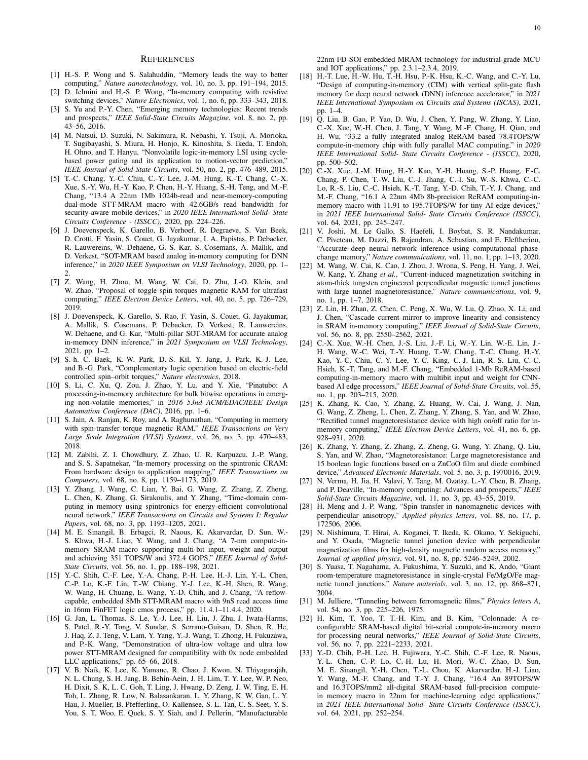#### **REFERENCES**

- <span id="page-9-0"></span>[1] H.-S. P. Wong and S. Salahuddin, "Memory leads the way to better computing," *Nature nanotechnology*, vol. 10, no. 3, pp. 191–194, 2015.
- [2] D. Ielmini and H.-S. P. Wong, "In-memory computing with resistive switching devices," *Nature Electronics*, vol. 1, no. 6, pp. 333–343, 2018.
- <span id="page-9-1"></span>[3] S. Yu and P.-Y. Chen, "Emerging memory technologies: Recent trends and prospects," *IEEE Solid-State Circuits Magazine*, vol. 8, no. 2, pp. 43–56, 2016.
- <span id="page-9-2"></span>[4] M. Natsui, D. Suzuki, N. Sakimura, R. Nebashi, Y. Tsuji, A. Morioka, T. Sugibayashi, S. Miura, H. Honjo, K. Kinoshita, S. Ikeda, T. Endoh, H. Ohno, and T. Hanyu, "Nonvolatile logic-in-memory LSI using cyclebased power gating and its application to motion-vector prediction," *IEEE Journal of Solid-State Circuits*, vol. 50, no. 2, pp. 476–489, 2015.
- <span id="page-9-19"></span>[5] T.-C. Chang, Y.-C. Chiu, C.-Y. Lee, J.-M. Hung, K.-T. Chang, C.-X. Xue, S.-Y. Wu, H.-Y. Kao, P. Chen, H.-Y. Huang, S.-H. Teng, and M.-F. Chang, "13.4 A 22nm 1Mb 1024b-read and near-memory-computing dual-mode STT-MRAM macro with 42.6GB/s read bandwidth for security-aware mobile devices," in *2020 IEEE International Solid- State Circuits Conference - (ISSCC)*, 2020, pp. 224–226.
- <span id="page-9-3"></span>[6] J. Doevenspeck, K. Garello, B. Verhoef, R. Degraeve, S. Van Beek, D. Crotti, F. Yasin, S. Couet, G. Jayakumar, I. A. Papistas, P. Debacker, R. Lauwereins, W. Dehaene, G. S. Kar, S. Cosemans, A. Mallik, and D. Verkest, "SOT-MRAM based analog in-memory computing for DNN inference," in *2020 IEEE Symposium on VLSI Technology*, 2020, pp. 1– 2.
- [7] Z. Wang, H. Zhou, M. Wang, W. Cai, D. Zhu, J.-O. Klein, and W. Zhao, "Proposal of toggle spin torques magnetic RAM for ultrafast computing," *IEEE Electron Device Letters*, vol. 40, no. 5, pp. 726–729, 2019.
- [8] J. Doevenspeck, K. Garello, S. Rao, F. Yasin, S. Couet, G. Jayakumar, A. Mallik, S. Cosemans, P. Debacker, D. Verkest, R. Lauwereins, W. Dehaene, and G. Kar, "Multi-pillar SOT-MRAM for accurate analog in-memory DNN inference," in *2021 Symposium on VLSI Technology*, 2021, pp. 1–2.
- <span id="page-9-4"></span>[9] S.-h. C. Baek, K.-W. Park, D.-S. Kil, Y. Jang, J. Park, K.-J. Lee, and B.-G. Park, "Complementary logic operation based on electric-field controlled spin–orbit torques," *Nature electronics*, 2018.
- <span id="page-9-5"></span>[10] S. Li, C. Xu, Q. Zou, J. Zhao, Y. Lu, and Y. Xie, "Pinatubo: A processing-in-memory architecture for bulk bitwise operations in emerging non-volatile memories," in *2016 53nd ACM/EDAC/IEEE Design Automation Conference (DAC)*, 2016, pp. 1–6.
- [11] S. Jain, A. Ranjan, K. Roy, and A. Raghunathan, "Computing in memory with spin-transfer torque magnetic RAM," *IEEE Transactions on Very Large Scale Integration (VLSI) Systems*, vol. 26, no. 3, pp. 470–483, 2018.
- [12] M. Zabihi, Z. I. Chowdhury, Z. Zhao, U. R. Karpuzcu, J.-P. Wang, and S. S. Sapatnekar, "In-memory processing on the spintronic CRAM: From hardware design to application mapping," *IEEE Transactions on Computers*, vol. 68, no. 8, pp. 1159–1173, 2019.
- <span id="page-9-6"></span>[13] Y. Zhang, J. Wang, C. Lian, Y. Bai, G. Wang, Z. Zhang, Z. Zheng, L. Chen, K. Zhang, G. Sirakoulis, and Y. Zhang, "Time-domain computing in memory using spintronics for energy-efficient convolutional neural network," *IEEE Transactions on Circuits and Systems I: Regular Papers*, vol. 68, no. 3, pp. 1193–1205, 2021.
- <span id="page-9-7"></span>[14] M. E. Sinangil, B. Erbagci, R. Naous, K. Akarvardar, D. Sun, W.- S. Khwa, H.-J. Liao, Y. Wang, and J. Chang, "A 7-nm compute-inmemory SRAM macro supporting multi-bit input, weight and output and achieving 351 TOPS/W and 372.4 GOPS," *IEEE Journal of Solid-State Circuits*, vol. 56, no. 1, pp. 188–198, 2021.
- <span id="page-9-8"></span>[15] Y.-C. Shih, C.-F. Lee, Y.-A. Chang, P.-H. Lee, H.-J. Lin, Y.-L. Chen, C.-P. Lo, K.-F. Lin, T.-W. Chiang, Y.-J. Lee, K.-H. Shen, R. Wang, W. Wang, H. Chuang, E. Wang, Y.-D. Chih, and J. Chang, "A reflowcapable, embedded 8Mb STT-MRAM macro with 9nS read access time in 16nm FinFET logic cmos process," pp. 11.4.1–11.4.4, 2020.
- [16] G. Jan, L. Thomas, S. Le, Y.-J. Lee, H. Liu, J. Zhu, J. Iwata-Harms, S. Patel, R.-Y. Tong, V. Sundar, S. Serrano-Guisan, D. Shen, R. He, J. Haq, Z. J. Teng, V. Lam, Y. Yang, Y.-J. Wang, T. Zhong, H. Fukuzawa, and P.-K. Wang, "Demonstration of ultra-low voltage and ultra low power STT-MRAM designed for compatibility with 0x node embedded LLC applications," pp. 65–66, 2018.
- <span id="page-9-9"></span>[17] V. B. Naik, K. Lee, K. Yamane, R. Chao, J. Kwon, N. Thiyagarajah, N. L. Chung, S. H. Jang, B. Behin-Aein, J. H. Lim, T. Y. Lee, W. P. Neo, H. Dixit, S. K, L. C. Goh, T. Ling, J. Hwang, D. Zeng, J. W. Ting, E. H. Toh, L. Zhang, R. Low, N. Balasankaran, L. Y. Zhang, K. W. Gan, L. Y. Hau, J. Mueller, B. Pfefferling, O. Kallensee, S. L. Tan, C. S. Seet, Y. S. You, S. T. Woo, E. Quek, S. Y. Siah, and J. Pellerin, "Manufacturable

22nm FD-SOI embedded MRAM technology for industrial-grade MCU and IOT applications," pp. 2.3.1–2.3.4, 2019.

- <span id="page-9-10"></span>[18] H.-T. Lue, H.-W. Hu, T.-H. Hsu, P.-K. Hsu, K.-C. Wang, and C.-Y. Lu, "Design of computing-in-memory (CIM) with vertical split-gate flash memory for deep neural network (DNN) inference accelerator," in *2021 IEEE International Symposium on Circuits and Systems (ISCAS)*, 2021, pp. 1–4.
- <span id="page-9-11"></span>[19] Q. Liu, B. Gao, P. Yao, D. Wu, J. Chen, Y. Pang, W. Zhang, Y. Liao, C.-X. Xue, W.-H. Chen, J. Tang, Y. Wang, M.-F. Chang, H. Qian, and H. Wu, "33.2 a fully integrated analog ReRAM based 78.4TOPS/W compute-in-memory chip with fully parallel MAC computing," in *2020 IEEE International Solid- State Circuits Conference - (ISSCC)*, 2020, pp. 500–502.
- <span id="page-9-12"></span>[20] C.-X. Xue, J.-M. Hung, H.-Y. Kao, Y.-H. Huang, S.-P. Huang, F.-C. Chang, P. Chen, T.-W. Liu, C.-J. Jhang, C.-I. Su, W.-S. Khwa, C.-C. Lo, R.-S. Liu, C.-C. Hsieh, K.-T. Tang, Y.-D. Chih, T.-Y. J. Chang, and M.-F. Chang, "16.1 A 22nm 4Mb 8b-precision ReRAM computing-inmemory macro with 11.91 to 195.7TOPS/W for tiny AI edge devices," in *2021 IEEE International Solid- State Circuits Conference (ISSCC)*, vol. 64, 2021, pp. 245–247.
- <span id="page-9-13"></span>[21] V. Joshi, M. Le Gallo, S. Haefeli, I. Boybat, S. R. Nandakumar, C. Piveteau, M. Dazzi, B. Rajendran, A. Sebastian, and E. Eleftheriou, "Accurate deep neural network inference using computational phasechange memory," *Nature communications*, vol. 11, no. 1, pp. 1–13, 2020.
- <span id="page-9-14"></span>[22] M. Wang, W. Cai, K. Cao, J. Zhou, J. Wrona, S. Peng, H. Yang, J. Wei, W. Kang, Y. Zhang *et al.*, "Current-induced magnetization switching in atom-thick tungsten engineered perpendicular magnetic tunnel junctions with large tunnel magnetoresistance," *Nature communications*, vol. 9, no. 1, pp. 1–7, 2018.
- <span id="page-9-15"></span>[23] Z. Lin, H. Zhan, Z. Chen, C. Peng, X. Wu, W. Lu, Q. Zhao, X. Li, and J. Chen, "Cascade current mirror to improve linearity and consistency in SRAM in-memory computing," *IEEE Journal of Solid-State Circuits*, vol. 56, no. 8, pp. 2550–2562, 2021.
- <span id="page-9-16"></span>[24] C.-X. Xue, W.-H. Chen, J.-S. Liu, J.-F. Li, W.-Y. Lin, W.-E. Lin, J.- H. Wang, W.-C. Wei, T.-Y. Huang, T.-W. Chang, T.-C. Chang, H.-Y. Kao, Y.-C. Chiu, C.-Y. Lee, Y.-C. King, C.-J. Lin, R.-S. Liu, C.-C. Hsieh, K.-T. Tang, and M.-F. Chang, "Embedded 1-Mb ReRAM-based computing-in-memory macro with multibit input and weight for CNNbased AI edge processors," *IEEE Journal of Solid-State Circuits*, vol. 55, no. 1, pp. 203–215, 2020.
- <span id="page-9-17"></span>[25] K. Zhang, K. Cao, Y. Zhang, Z. Huang, W. Cai, J. Wang, J. Nan, G. Wang, Z. Zheng, L. Chen, Z. Zhang, Y. Zhang, S. Yan, and W. Zhao, "Rectified tunnel magnetoresistance device with high on/off ratio for inmemory computing," *IEEE Electron Device Letters*, vol. 41, no. 6, pp. 928–931, 2020.
- <span id="page-9-18"></span>[26] K. Zhang, Y. Zhang, Z. Zhang, Z. Zheng, G. Wang, Y. Zhang, Q. Liu, S. Yan, and W. Zhao, "Magnetoresistance: Large magnetoresistance and 15 boolean logic functions based on a ZnCoO film and diode combined device," *Advanced Electronic Materials*, vol. 5, no. 3, p. 1970016, 2019.
- <span id="page-9-20"></span>[27] N. Verma, H. Jia, H. Valavi, Y. Tang, M. Ozatay, L.-Y. Chen, B. Zhang, and P. Deaville, "In-memory computing: Advances and prospects," *IEEE Solid-State Circuits Magazine*, vol. 11, no. 3, pp. 43–55, 2019.
- <span id="page-9-21"></span>[28] H. Meng and J.-P. Wang, "Spin transfer in nanomagnetic devices with perpendicular anisotropy," *Applied physics letters*, vol. 88, no. 17, p. 172506, 2006.
- <span id="page-9-22"></span>[29] N. Nishimura, T. Hirai, A. Koganei, T. Ikeda, K. Okano, Y. Sekiguchi, and Y. Osada, "Magnetic tunnel junction device with perpendicular magnetization films for high-density magnetic random access memory," *Journal of applied physics*, vol. 91, no. 8, pp. 5246–5249, 2002.
- <span id="page-9-23"></span>[30] S. Yuasa, T. Nagahama, A. Fukushima, Y. Suzuki, and K. Ando, "Giant room-temperature magnetoresistance in single-crystal Fe/MgO/Fe magnetic tunnel junctions," *Nature materials*, vol. 3, no. 12, pp. 868–871, 2004.
- <span id="page-9-24"></span>[31] M. Julliere, "Tunneling between ferromagnetic films," *Physics letters A*, vol. 54, no. 3, pp. 225–226, 1975.
- <span id="page-9-25"></span>[32] H. Kim, T. Yoo, T. T.-H. Kim, and B. Kim, "Colonnade: A reconfigurable SRAM-based digital bit-serial compute-in-memory macro for processing neural networks," *IEEE Journal of Solid-State Circuits*, vol. 56, no. 7, pp. 2221–2233, 2021.
- <span id="page-9-26"></span>[33] Y.-D. Chih, P.-H. Lee, H. Fujiwara, Y.-C. Shih, C.-F. Lee, R. Naous, Y.-L. Chen, C.-P. Lo, C.-H. Lu, H. Mori, W.-C. Zhao, D. Sun, M. E. Sinangil, Y.-H. Chen, T.-L. Chou, K. Akarvardar, H.-J. Liao, Y. Wang, M.-F. Chang, and T.-Y. J. Chang, "16.4 An 89TOPS/W and 16.3TOPS/mm2 all-digital SRAM-based full-precision computein memory macro in 22nm for machine-learning edge applications," in *2021 IEEE International Solid- State Circuits Conference (ISSCC)*, vol. 64, 2021, pp. 252–254.